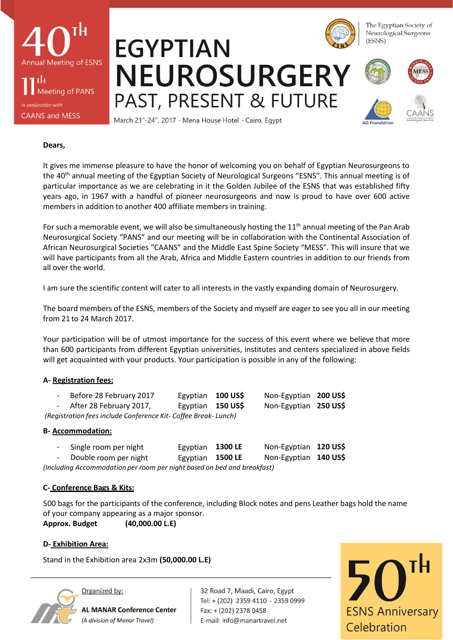

**EGYPTIAN NEUROSURGERY** PAST, PRESENT & FUTURE



The Egyptian Society of Neurological Surgeons (FSNS)





March 21st-24th, 2017 - Mena House Hotel - Cairo, Egypt

#### **Dears,**

It gives me immense pleasure to have the honor of welcoming you on behalf of Egyptian Neurosurgeons to the 40<sup>th</sup> annual meeting of the Egyptian Society of Neurological Surgeons "ESNS". This annual meeting is of particular importance as we are celebrating in it the Golden Jubilee of the ESNS that was established fifty years ago, in 1967 with a handful of pioneer neurosurgeons and now is proud to have over 600 active members in addition to another 400 affiliate members in training.

For such a memorable event, we will also be simultaneously hosting the 11<sup>th</sup> annual meeting of the Pan Arab Neurosurgical Society "PANS" and our meeting will be in collaboration with the Continental Association of African Neurosurgical Societies "CAANS" and the Middle East Spine Society "MESS". This will insure that we will have participants from all the Arab, Africa and Middle Eastern countries in addition to our friends from all over the world.

I am sure the scientific content will cater to all interests in the vastly expanding domain of Neurosurgery.

The board members of the ESNS, members of the Society and myself are eager to see you all in our meeting from 21 to 24 March 2017.

Your participation will be of utmost importance for the success of this event where we believe that more than 600 participants from different Egyptian universities, institutes and centers specialized in above fields will get acquainted with your products. Your participation is possible in any of the following:

## **A- Registration fees:**

|                                                                 | - Before 28 February 2017 | Egyptian 100 US\$ |  | Non-Egyptian 200 US\$ |  |  |  |
|-----------------------------------------------------------------|---------------------------|-------------------|--|-----------------------|--|--|--|
|                                                                 | - After 28 February 2017, | Egyptian 150 US\$ |  | Non-Egyptian 250 US\$ |  |  |  |
| (Registration fees include Conference Kit- Coffee Break- Lunch) |                           |                   |  |                       |  |  |  |

### **B- Accommodation:**

|                                                                          | - Single room per night | Egyptian 1300 LE |  | Non-Egyptian 120 US\$ |  |  |  |  |
|--------------------------------------------------------------------------|-------------------------|------------------|--|-----------------------|--|--|--|--|
|                                                                          | - Double room per night | Egyptian 1500 LE |  | Non-Egyptian 140 US\$ |  |  |  |  |
| $n$ cluding Accommodation per room per pight based on hed and breakfast) |                         |                  |  |                       |  |  |  |  |

*(Including Accommodation per room per night based on bed and breakfast)*

### **C- Conference Bags & Kits:**

500 bags for the participants of the conference, including Block notes and pens Leather bags hold the name of your company appearing as a major sponsor.

**Approx. Budget (40,000.00 L.E)**

### **D- Exhibition Area:**

Stand in the Exhibition area 2x3m **(50,000.00 L.E)**



Organized by:

**AL MANAR Conference Center** (A division of Manar Travel)

32 Road 7, Maadi, Cairo, Egypt Tel: + (202) 2359 4110 - 2359 0999 Fax: + (202) 2378 0458 E-mail: info@manartravel.net